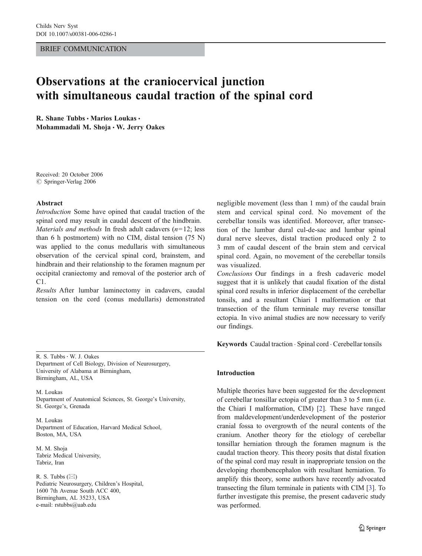#### BRIEF COMMUNICATION

# Observations at the craniocervical junction with simultaneous caudal traction of the spinal cord

R. Shane Tubbs · Marios Loukas · Mohammadali M. Shoja · W. Jerry Oakes

Received: 20 October 2006  $\odot$  Springer-Verlag 2006

#### Abstract

Introduction Some have opined that caudal traction of the spinal cord may result in caudal descent of the hindbrain. Materials and methods In fresh adult cadavers  $(n=12; \text{less})$ than 6 h postmortem) with no CIM, distal tension (75 N) was applied to the conus medullaris with simultaneous observation of the cervical spinal cord, brainstem, and hindbrain and their relationship to the foramen magnum per occipital craniectomy and removal of the posterior arch of C1.

Results After lumbar laminectomy in cadavers, caudal tension on the cord (conus medullaris) demonstrated

R. S. Tubbs: W. J. Oakes Department of Cell Biology, Division of Neurosurgery, University of Alabama at Birmingham, Birmingham, AL, USA

M. Loukas Department of Anatomical Sciences, St. George's University, St. George's, Grenada

M. Loukas Department of Education, Harvard Medical School, Boston, MA, USA

M. M. Shoja Tabriz Medical University, Tabriz, Iran

R. S. Tubbs  $(\boxtimes)$ Pediatric Neurosurgery, Children's Hospital, 1600 7th Avenue South ACC 400, Birmingham, AL 35233, USA e-mail: rstubbs@uab.edu

negligible movement (less than 1 mm) of the caudal brain stem and cervical spinal cord. No movement of the cerebellar tonsils was identified. Moreover, after transection of the lumbar dural cul-de-sac and lumbar spinal dural nerve sleeves, distal traction produced only 2 to 3 mm of caudal descent of the brain stem and cervical spinal cord. Again, no movement of the cerebellar tonsils was visualized.

Conclusions Our findings in a fresh cadaveric model suggest that it is unlikely that caudal fixation of the distal spinal cord results in inferior displacement of the cerebellar tonsils, and a resultant Chiari I malformation or that transection of the filum terminale may reverse tonsillar ectopia. In vivo animal studies are now necessary to verify our findings.

Keywords Caudal traction . Spinal cord . Cerebellar tonsils

## Introduction

Multiple theories have been suggested for the development of cerebellar tonsillar ectopia of greater than 3 to 5 mm (i.e. the Chiari I malformation, CIM) [\[2](#page-2-0)]. These have ranged from maldevelopment/underdevelopment of the posterior cranial fossa to overgrowth of the neural contents of the cranium. Another theory for the etiology of cerebellar tonsillar herniation through the foramen magnum is the caudal traction theory. This theory posits that distal fixation of the spinal cord may result in inappropriate tension on the developing rhombencephalon with resultant herniation. To amplify this theory, some authors have recently advocated transecting the filum terminale in patients with CIM [\[3](#page-2-0)]. To further investigate this premise, the present cadaveric study was performed.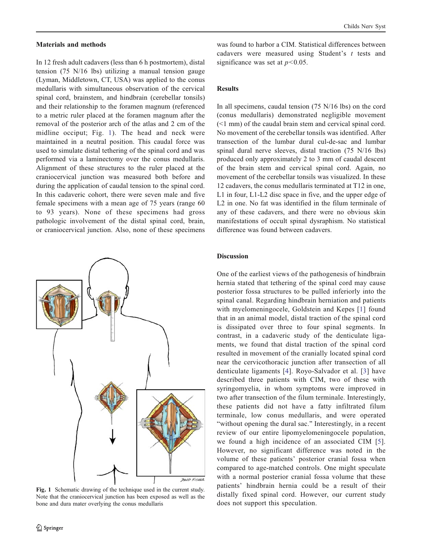## Materials and methods

In 12 fresh adult cadavers (less than 6 h postmortem), distal tension (75 N/16 lbs) utilizing a manual tension gauge (Lyman, Middletown, CT, USA) was applied to the conus medullaris with simultaneous observation of the cervical spinal cord, brainstem, and hindbrain (cerebellar tonsils) and their relationship to the foramen magnum (referenced to a metric ruler placed at the foramen magnum after the removal of the posterior arch of the atlas and 2 cm of the midline occiput; Fig. 1). The head and neck were maintained in a neutral position. This caudal force was used to simulate distal tethering of the spinal cord and was performed via a laminectomy over the conus medullaris. Alignment of these structures to the ruler placed at the craniocervical junction was measured both before and during the application of caudal tension to the spinal cord. In this cadaveric cohort, there were seven male and five female specimens with a mean age of 75 years (range 60 to 93 years). None of these specimens had gross pathologic involvement of the distal spinal cord, brain, or craniocervical junction. Also, none of these specimens



Fig. 1 Schematic drawing of the technique used in the current study. Note that the craniocervical junction has been exposed as well as the bone and dura mater overlying the conus medullaris

was found to harbor a CIM. Statistical differences between cadavers were measured using Student's t tests and significance was set at  $p < 0.05$ .

## Results

In all specimens, caudal tension (75 N/16 lbs) on the cord (conus medullaris) demonstrated negligible movement (<1 mm) of the caudal brain stem and cervical spinal cord. No movement of the cerebellar tonsils was identified. After transection of the lumbar dural cul-de-sac and lumbar spinal dural nerve sleeves, distal traction (75 N/16 lbs) produced only approximately 2 to 3 mm of caudal descent of the brain stem and cervical spinal cord. Again, no movement of the cerebellar tonsils was visualized. In these 12 cadavers, the conus medullaris terminated at T12 in one, L1 in four, L1-L2 disc space in five, and the upper edge of L2 in one. No fat was identified in the filum terminale of any of these cadavers, and there were no obvious skin manifestations of occult spinal dysraphism. No statistical difference was found between cadavers.

## **Discussion**

One of the earliest views of the pathogenesis of hindbrain hernia stated that tethering of the spinal cord may cause posterior fossa structures to be pulled inferiorly into the spinal canal. Regarding hindbrain herniation and patients with myelomeningocele, Goldstein and Kepes [[1\]](#page-2-0) found that in an animal model, distal traction of the spinal cord is dissipated over three to four spinal segments. In contrast, in a cadaveric study of the denticulate ligaments, we found that distal traction of the spinal cord resulted in movement of the cranially located spinal cord near the cervicothoracic junction after transection of all denticulate ligaments [[4\]](#page-2-0). Royo-Salvador et al. [[3\]](#page-2-0) have described three patients with CIM, two of these with syringomyelia, in whom symptoms were improved in two after transection of the filum terminale. Interestingly, these patients did not have a fatty infiltrated filum terminale, low conus medullaris, and were operated "without opening the dural sac." Interestingly, in a recent review of our entire lipomyelomeningocele population, we found a high incidence of an associated CIM [[5](#page-2-0)]. However, no significant difference was noted in the volume of these patients' posterior cranial fossa when compared to age-matched controls. One might speculate with a normal posterior cranial fossa volume that these patients' hindbrain hernia could be a result of their distally fixed spinal cord. However, our current study does not support this speculation.